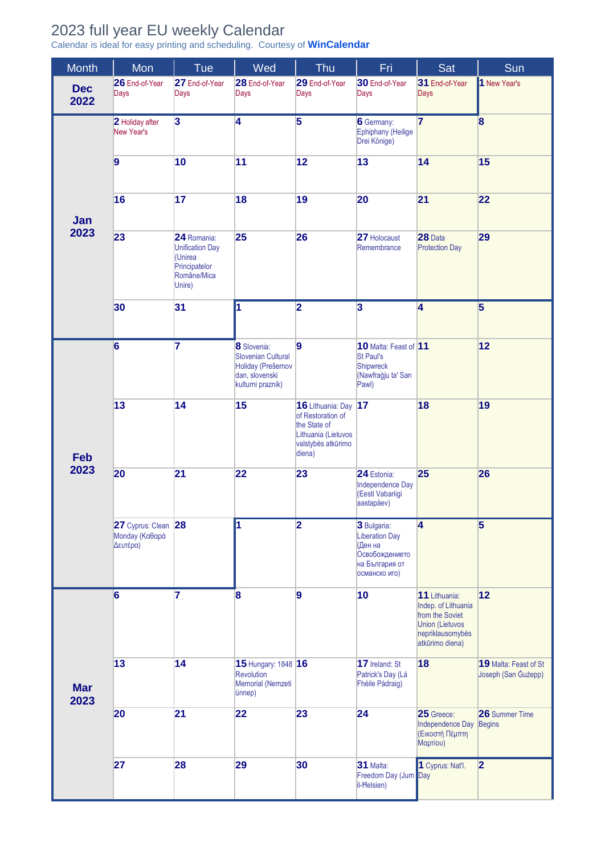## 2023 full year EU weekly Calendar

Calendar is ideal for easy printing and scheduling. Courtesy of **[WinCalendar](https://www.wincalendar.com/2023-Calendar-with-EU-Holidays)**

| <b>Month</b>       | Mon                                               | Tue                                                                                        | Wed                                                                                                   | Thu                                                                                                           | Fri                                                                                                  | Sat                                                                                                                      | Sun                                          |
|--------------------|---------------------------------------------------|--------------------------------------------------------------------------------------------|-------------------------------------------------------------------------------------------------------|---------------------------------------------------------------------------------------------------------------|------------------------------------------------------------------------------------------------------|--------------------------------------------------------------------------------------------------------------------------|----------------------------------------------|
| <b>Dec</b><br>2022 | 26 End-of-Year<br>Days                            | 27 End-of-Year<br>Days                                                                     | 28 End-of-Year<br>Days                                                                                | 29 End-of-Year<br>Days                                                                                        | 30 End-of-Year<br>Days                                                                               | 31 End-of-Year<br>Days                                                                                                   | 1 New Year's                                 |
| Jan<br>2023        | 2 Holiday after<br><b>New Year's</b>              | $\overline{\mathbf{3}}$                                                                    | $\overline{4}$                                                                                        | $\overline{5}$                                                                                                | <b>6</b> Germany:<br>Ephiphany (Heilige<br>Drei Könige)                                              | $\overline{7}$                                                                                                           | $\bf{8}$                                     |
|                    | 9                                                 | 10                                                                                         | 11                                                                                                    | 12                                                                                                            | 13                                                                                                   | 14                                                                                                                       | 15                                           |
|                    | 16                                                | 17                                                                                         | 18                                                                                                    | 19                                                                                                            | 20                                                                                                   | 21                                                                                                                       | 22                                           |
|                    | 23                                                | 24 Romania:<br><b>Unification Day</b><br>(Unirea<br>Principatelor<br>Române/Mica<br>Unire) | 25                                                                                                    | 26                                                                                                            | 27 Holocaust<br>Remembrance                                                                          | 28 Data<br><b>Protection Day</b>                                                                                         | 29                                           |
|                    | 30                                                | 31                                                                                         | 1                                                                                                     | $\overline{\mathbf{2}}$                                                                                       | $\overline{\mathbf{3}}$                                                                              | $\overline{4}$                                                                                                           | $\overline{5}$                               |
| Feb<br>2023        | $\overline{6}$                                    | $\overline{\mathbf{7}}$                                                                    | 8 Slovenia:<br><b>Slovenian Cultural</b><br>Holiday (Prešernov<br>dan, slovenski<br>kulturni praznik) | $\overline{9}$                                                                                                | 10 Malta: Feast of 11<br>St Paul's<br>Shipwreck<br>(Nawfraġju ta' San<br>Pawl)                       |                                                                                                                          | 12                                           |
|                    | 13                                                | 14                                                                                         | 15                                                                                                    | 16 Lithuania: Day<br>of Restoration of<br>the State of<br>Lithuania (Lietuvos<br>valstybės atkūrimo<br>diena) | 17                                                                                                   | 18                                                                                                                       | 19                                           |
|                    | 20                                                | 21                                                                                         | 22                                                                                                    | 23                                                                                                            | 24 Estonia:<br>Independence Day<br>(Eesti Vabariigi<br>aastapäev)                                    | 25                                                                                                                       | 26                                           |
|                    | 27 Cyprus: Clean 28<br>Monday (Καθαρά<br>Δευτέρα) |                                                                                            | 1                                                                                                     | $\overline{\mathbf{2}}$                                                                                       | 3 Bulgaria:<br><b>Liberation Day</b><br>(Ден на<br>Освобождението<br>на България от<br>османско иго) | $\overline{\mathbf{4}}$                                                                                                  | 5                                            |
| <b>Mar</b><br>2023 | 6                                                 | $\overline{7}$                                                                             | 8                                                                                                     | 9                                                                                                             | 10                                                                                                   | 11 Lithuania:<br>Indep. of Lithuania<br>from the Soviet<br><b>Union (Lietuvos</b><br>nepriklausomybės<br>atkūrimo diena) | 12                                           |
|                    | 13                                                | 14                                                                                         | 15 Hungary: 1848 16<br>Revolution<br>Memorial (Nemzeti<br>ünnep)                                      |                                                                                                               | 17 Ireland: St<br>Patrick's Day (Lá<br>Fhéile Pádraig)                                               | 18                                                                                                                       | 19 Malta: Feast of St<br>Joseph (San Gużepp) |
|                    | 20                                                | 21                                                                                         | 22                                                                                                    | 23                                                                                                            | 24                                                                                                   | 25 Greece:<br>Independence Day Begins<br>(Εικοστή Πέμπτη<br>Μαρτίου)                                                     | 26 Summer Time                               |
|                    | 27                                                | 28                                                                                         | 29                                                                                                    | 30                                                                                                            | 31 Malta:<br>Freedom Day (Jum Day<br>il-Helsien)                                                     | 1 Cyprus: Nat'l.                                                                                                         | $\overline{2}$                               |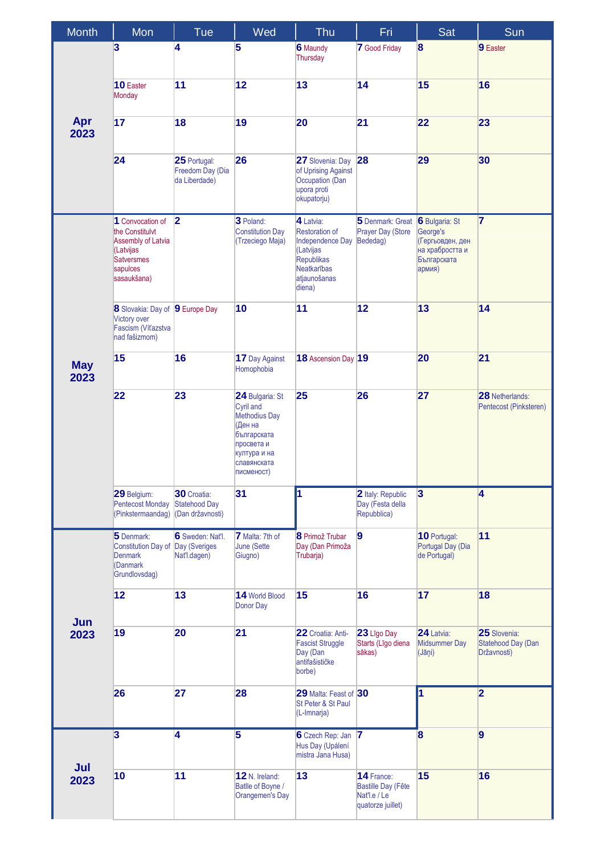| <b>Month</b>       | Mon                                                                                                                    | Tue                                               | Wed                                                                                                                                       | Thu                                                                                                                               | Fri                                                                   | Sat                                                                                               | Sun                                               |
|--------------------|------------------------------------------------------------------------------------------------------------------------|---------------------------------------------------|-------------------------------------------------------------------------------------------------------------------------------------------|-----------------------------------------------------------------------------------------------------------------------------------|-----------------------------------------------------------------------|---------------------------------------------------------------------------------------------------|---------------------------------------------------|
|                    | $\overline{\mathbf{3}}$                                                                                                | 4                                                 | 5                                                                                                                                         | <b>6</b> Maundy<br>Thursday                                                                                                       | <b>7</b> Good Friday                                                  | $\overline{\mathbf{8}}$                                                                           | 9 Easter                                          |
| Apr<br>2023        | 10 Easter<br>Monday                                                                                                    | 11                                                | 12                                                                                                                                        | 13                                                                                                                                | 14                                                                    | 15                                                                                                | 16                                                |
|                    | 17                                                                                                                     | 18                                                | 19                                                                                                                                        | 20                                                                                                                                | 21                                                                    | 22                                                                                                | 23                                                |
|                    | 24                                                                                                                     | 25 Portugal:<br>Freedom Day (Dia<br>da Liberdade) | 26                                                                                                                                        | 27 Slovenia: Day<br>of Uprising Against<br>Occupation (Dan<br>upora proti<br>okupatorju)                                          | 28                                                                    | 29                                                                                                | 30                                                |
| <b>May</b><br>2023 | 1 Convocation of<br>the Constitulvt<br>Assembly of Latvia<br>(Latvijas<br><b>Satversmes</b><br>sapulces<br>sasaukšana) | $\vert$ 2                                         | 3 Poland:<br><b>Constitution Day</b><br>(Trzeciego Maja)                                                                                  | 4 Latvia:<br><b>Restoration of</b><br>Independence Day<br>(Latvijas<br>Republikas<br><b>Neatkarības</b><br>atjaunošanas<br>diena) | 5 Denmark: Great<br>Prayer Day (Store<br>Bededag)                     | <b>6</b> Bulgaria: St<br>George's<br>(Гергьовден, ден<br>на храбростта и<br>Българската<br>армия) | 7                                                 |
|                    | 8 Slovakia: Day of 9 Europe Day<br>Victory over<br>Fascism (Víťazstva<br>nad fašizmom)                                 |                                                   | 10                                                                                                                                        | 11                                                                                                                                | 12                                                                    | 13                                                                                                | 14                                                |
|                    | 15                                                                                                                     | 16                                                | 17 Day Against<br>Homophobia                                                                                                              | 18 Ascension Day 19                                                                                                               |                                                                       | 20                                                                                                | 21                                                |
|                    | 22                                                                                                                     | 23                                                | 24 Bulgaria: St<br>Cyril and<br><b>Methodius Day</b><br>(Ден на<br>българската<br>просвета и<br>култура и на<br>славянската<br>писменост) | 25                                                                                                                                | 26                                                                    | 27                                                                                                | <b>28</b> Netherlands:<br>Pentecost (Pinksteren)  |
|                    | 29 Belgium:<br><b>Pentecost Monday</b><br>(Pinkstermaandag)                                                            | 30 Croatia:<br>Statehood Day<br>(Dan državnosti)  | 31                                                                                                                                        | 1                                                                                                                                 | 2 Italy: Republic<br>Day (Festa della<br>Repubblica)                  | $\overline{\mathbf{3}}$                                                                           | $\overline{\mathbf{4}}$                           |
| Jun                | 5 Denmark:<br>Constitution Day of Day (Sveriges<br><b>Denmark</b><br>(Danmark<br>Grundlovsdag)                         | 6 Sweden: Nat'l.<br>Nat'l.dagen)                  | <b>7</b> Malta: 7th of<br>June (Sette<br>Giugno)                                                                                          | <b>8</b> Primož Trubar<br>Day (Dan Primoža<br>Trubarja)                                                                           | $\boldsymbol{9}$                                                      | <b>10 Portugal:</b><br>Portugal Day (Dia<br>de Portugal)                                          | 11                                                |
|                    | 12                                                                                                                     | 13                                                | 14 World Blood<br>Donor Day                                                                                                               | 15                                                                                                                                | 16                                                                    | 17                                                                                                | 18                                                |
| 2023               | 19                                                                                                                     | 20                                                | 21                                                                                                                                        | 22 Croatia: Anti-<br><b>Fascist Struggle</b><br>Day (Dan<br>antifašističke<br>borbe)                                              | 23 Līgo Day<br>Starts (Līgo diena<br>sākas)                           | 24 Latvia:<br><b>Midsummer Day</b><br>(Jāņi)                                                      | 25 Slovenia:<br>Statehood Day (Dan<br>Državnosti) |
|                    | 26                                                                                                                     | 27                                                | 28                                                                                                                                        | 29 Malta: Feast of 30<br>St Peter & St Paul<br>(L-Imnarja)                                                                        |                                                                       | $\overline{\mathbf{1}}$                                                                           | $\overline{2}$                                    |
| Jul                | $\overline{\mathbf{3}}$                                                                                                | $\overline{4}$                                    | 5                                                                                                                                         | 6 Czech Rep: Jan 7<br>Hus Day (Upálení<br>mistra Jana Husa)                                                                       |                                                                       | $\overline{\mathbf{8}}$                                                                           | $\overline{9}$                                    |
| 2023               | 10                                                                                                                     | 11                                                | 12 N. Ireland:<br>Batlle of Boyne /<br>Orangemen's Day                                                                                    | 13                                                                                                                                | 14 France:<br>Bastille Day (Fête<br>Nat'l.e / Le<br>quatorze juillet) | 15                                                                                                | 16                                                |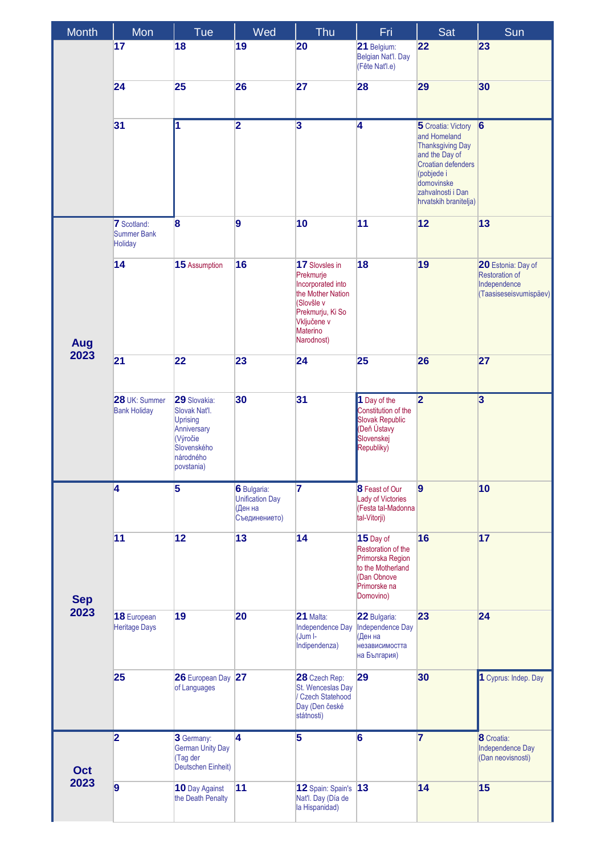| <b>Month</b>       | Mon                                          | Tue                                                                                                            | Wed                                                               | Thu                                                                                                                                              | Fri                                                                                                                  | Sat                                                                                                                                                                             | Sun                                                                                   |
|--------------------|----------------------------------------------|----------------------------------------------------------------------------------------------------------------|-------------------------------------------------------------------|--------------------------------------------------------------------------------------------------------------------------------------------------|----------------------------------------------------------------------------------------------------------------------|---------------------------------------------------------------------------------------------------------------------------------------------------------------------------------|---------------------------------------------------------------------------------------|
|                    | 17                                           | 18                                                                                                             | 19                                                                | 20                                                                                                                                               | 21 Belgium:<br>Belgian Nat'l. Day<br>(Fête Nat'l.e)                                                                  | 22                                                                                                                                                                              | 23                                                                                    |
|                    | 24                                           | 25                                                                                                             | 26                                                                | 27                                                                                                                                               | 28                                                                                                                   | 29                                                                                                                                                                              | 30                                                                                    |
|                    | 31                                           | ł1                                                                                                             | $\overline{\mathbf{2}}$                                           | $\overline{\mathbf{3}}$                                                                                                                          | $\overline{4}$                                                                                                       | 5 Croatia: Victory<br>and Homeland<br><b>Thanksgiving Day</b><br>and the Day of<br>Croatian defenders<br>(pobjede i<br>domovinske<br>zahvalnosti i Dan<br>hrvatskih branitelja) | $6\overline{6}$                                                                       |
| Aug<br>2023        | <b>7</b> Scotland:<br>Summer Bank<br>Holiday | $\boldsymbol{8}$                                                                                               | $\overline{9}$                                                    | 10                                                                                                                                               | 11                                                                                                                   | 12                                                                                                                                                                              | 13                                                                                    |
|                    | 14                                           | 15 Assumption                                                                                                  | 16                                                                | 17 Slovsles in<br>Prekmurje<br>Incorporated into<br>the Mother Nation<br>(Slovšle v<br>Prekmurju, Ki So<br>Vključene v<br>Materino<br>Narodnost) | 18                                                                                                                   | 19                                                                                                                                                                              | 20 Estonia: Day of<br><b>Restoration of</b><br>Independence<br>(Taasiseseisvumispäev) |
|                    | 21                                           | 22                                                                                                             | 23                                                                | 24                                                                                                                                               | 25                                                                                                                   | 26                                                                                                                                                                              | 27                                                                                    |
|                    | 28 UK: Summer<br><b>Bank Holiday</b>         | 29 Slovakia:<br>Slovak Nat'l.<br>Uprising<br>Anniversary<br>(Výročie<br>Slovenského<br>národného<br>povstania) | 30                                                                | 31                                                                                                                                               | $\sqrt{1}$ Day of the<br>Constitution of the<br><b>Slovak Republic</b><br>(Deň Ústavy<br>Slovenskej<br>Republiky)    | $\overline{2}$                                                                                                                                                                  | $\overline{\mathbf{3}}$                                                               |
| <b>Sep</b><br>2023 | 4                                            | $\overline{5}$                                                                                                 | 6 Bulgaria:<br><b>Unification Day</b><br>(Ден на<br>Съединението) | 7                                                                                                                                                | 8 Feast of Our<br>Lady of Victories<br>(Festa tal-Madonna<br>tal-Vitorji)                                            | $\overline{9}$                                                                                                                                                                  | 10                                                                                    |
|                    | 11                                           | 12                                                                                                             | 13                                                                | 14                                                                                                                                               | 15 Day of<br>Restoration of the<br>Primorska Region<br>to the Motherland<br>(Dan Obnove<br>Primorske na<br>Domovino) | 16                                                                                                                                                                              | 17                                                                                    |
|                    | 18 European<br><b>Heritage Days</b>          | 19                                                                                                             | 20                                                                | 21 Malta:<br>Independence Day<br>$($ Jum $ $ -<br>Indipendenza)                                                                                  | 22 Bulgaria:<br>Independence Day<br>(Ден на<br>независимостта<br>на България)                                        | 23                                                                                                                                                                              | 24                                                                                    |
|                    | 25                                           | 26 European Day 27<br>of Languages                                                                             |                                                                   | 28 Czech Rep:<br>St. Wenceslas Day<br>/ Czech Statehood<br>Day (Den české<br>státnosti)                                                          | 29                                                                                                                   | 30                                                                                                                                                                              | 1 Cyprus: Indep. Day                                                                  |
| Oct<br>2023        | $\overline{\mathbf{2}}$                      | 3 Germany:<br><b>German Unity Day</b><br>(Tag der<br>Deutschen Einheit)                                        | 4                                                                 | 5                                                                                                                                                | $\overline{6}$                                                                                                       | 7                                                                                                                                                                               | 8 Croatia:<br>Independence Day<br>(Dan neovisnosti)                                   |
|                    | 9                                            | 10 Day Against<br>the Death Penalty                                                                            | 11                                                                | 12 Spain: Spain's<br>Nat'l. Day (Día de<br>la Hispanidad)                                                                                        | 13                                                                                                                   | 14                                                                                                                                                                              | 15                                                                                    |